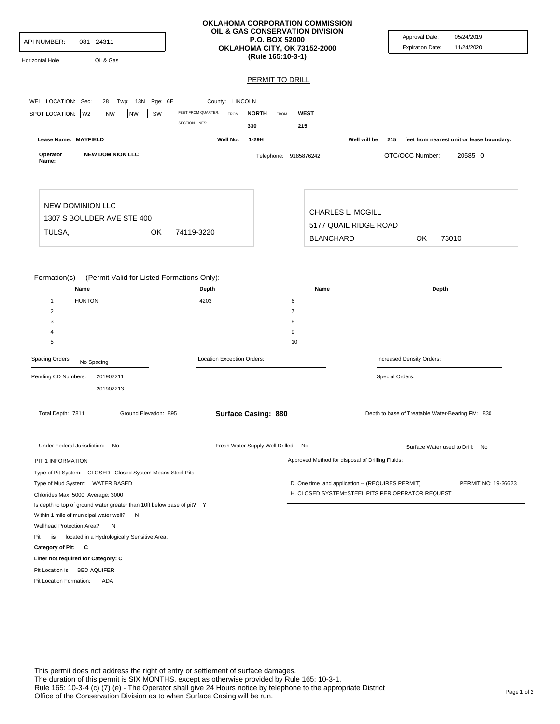| <b>API NUMBER:</b><br>081 24311<br>Oil & Gas<br>Horizontal Hole                                                                   |                                                                                               | <b>OKLAHOMA CORPORATION COMMISSION</b><br>OIL & GAS CONSERVATION DIVISION<br><b>P.O. BOX 52000</b><br>OKLAHOMA CITY, OK 73152-2000<br>(Rule 165:10-3-1) |                                                                                                       | Approval Date:<br>05/24/2019<br>11/24/2020<br><b>Expiration Date:</b> |
|-----------------------------------------------------------------------------------------------------------------------------------|-----------------------------------------------------------------------------------------------|---------------------------------------------------------------------------------------------------------------------------------------------------------|-------------------------------------------------------------------------------------------------------|-----------------------------------------------------------------------|
|                                                                                                                                   |                                                                                               | <b>PERMIT TO DRILL</b>                                                                                                                                  |                                                                                                       |                                                                       |
| WELL LOCATION: Sec:<br>Twp: 13N Rge: 6E<br>28<br>SPOT LOCATION:<br>W <sub>2</sub><br><b>NW</b><br><b>NW</b><br>SW                 | County: LINCOLN<br>FEET FROM QUARTER:<br><b>NORTH</b><br>FROM<br><b>SECTION LINES:</b><br>330 | <b>WEST</b><br><b>FROM</b><br>215                                                                                                                       |                                                                                                       |                                                                       |
| Lease Name: MAYFIELD                                                                                                              | Well No:<br>1-29H                                                                             |                                                                                                                                                         | Well will be                                                                                          | 215 feet from nearest unit or lease boundary.                         |
| <b>NEW DOMINION LLC</b><br>Operator<br>Name:                                                                                      |                                                                                               | Telephone: 9185876242                                                                                                                                   |                                                                                                       | OTC/OCC Number:<br>20585 0                                            |
| <b>NEW DOMINION LLC</b><br>1307 S BOULDER AVE STE 400<br>TULSA,<br>0K<br>74119-3220                                               |                                                                                               | <b>BLANCHARD</b>                                                                                                                                        | <b>CHARLES L. MCGILL</b><br>5177 QUAIL RIDGE ROAD                                                     | OK.<br>73010                                                          |
| Formation(s)<br>(Permit Valid for Listed Formations Only):<br>Name<br><b>HUNTON</b><br>$\mathbf{1}$<br>$\overline{2}$             | Depth<br>4203                                                                                 | Name<br>6<br>$\overline{7}$                                                                                                                             |                                                                                                       | Depth                                                                 |
| 3<br>4<br>5                                                                                                                       |                                                                                               | 8<br>9<br>10                                                                                                                                            |                                                                                                       |                                                                       |
| Spacing Orders:<br>No Spacing                                                                                                     | Location Exception Orders:                                                                    |                                                                                                                                                         |                                                                                                       | Increased Density Orders:                                             |
| Pending CD Numbers:<br>201902211<br>201902213                                                                                     |                                                                                               |                                                                                                                                                         | Special Orders:                                                                                       |                                                                       |
| Total Depth: 7811<br>Ground Elevation: 895                                                                                        | <b>Surface Casing: 880</b>                                                                    |                                                                                                                                                         |                                                                                                       | Depth to base of Treatable Water-Bearing FM: 830                      |
| Under Federal Jurisdiction: No                                                                                                    |                                                                                               | Fresh Water Supply Well Drilled: No                                                                                                                     |                                                                                                       | Surface Water used to Drill: No                                       |
| PIT 1 INFORMATION                                                                                                                 |                                                                                               |                                                                                                                                                         | Approved Method for disposal of Drilling Fluids:                                                      |                                                                       |
| Type of Pit System: CLOSED Closed System Means Steel Pits<br>Type of Mud System: WATER BASED<br>Chlorides Max: 5000 Average: 3000 |                                                                                               |                                                                                                                                                         | D. One time land application -- (REQUIRES PERMIT)<br>H. CLOSED SYSTEM=STEEL PITS PER OPERATOR REQUEST | PERMIT NO: 19-36623                                                   |
| Is depth to top of ground water greater than 10ft below base of pit? Y<br>Within 1 mile of municipal water well? N                |                                                                                               |                                                                                                                                                         |                                                                                                       |                                                                       |
| Wellhead Protection Area?<br>N                                                                                                    |                                                                                               |                                                                                                                                                         |                                                                                                       |                                                                       |
| Pit<br>is<br>located in a Hydrologically Sensitive Area.                                                                          |                                                                                               |                                                                                                                                                         |                                                                                                       |                                                                       |
| Category of Pit: C<br>Liner not required for Category: C                                                                          |                                                                                               |                                                                                                                                                         |                                                                                                       |                                                                       |
| Pit Location is<br><b>BED AQUIFER</b><br>Pit Location Formation:<br><b>ADA</b>                                                    |                                                                                               |                                                                                                                                                         |                                                                                                       |                                                                       |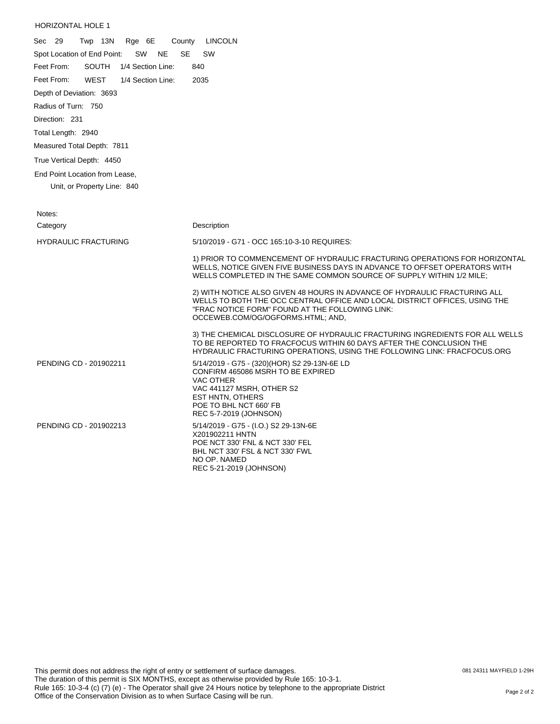## HORIZONTAL HOLE 1

| Sec 29<br>Twp 13N<br>Rge 6E<br>County                       | <b>LINCOLN</b>                                                                                                                                                                                                                                  |
|-------------------------------------------------------------|-------------------------------------------------------------------------------------------------------------------------------------------------------------------------------------------------------------------------------------------------|
| Spot Location of End Point:<br>SW<br><b>NE</b><br><b>SE</b> | SW                                                                                                                                                                                                                                              |
| <b>SOUTH</b><br>1/4 Section Line:<br>Feet From:             | 840                                                                                                                                                                                                                                             |
| Feet From:<br><b>WEST</b><br>1/4 Section Line:              | 2035                                                                                                                                                                                                                                            |
| Depth of Deviation: 3693                                    |                                                                                                                                                                                                                                                 |
| Radius of Turn: 750                                         |                                                                                                                                                                                                                                                 |
| Direction: 231                                              |                                                                                                                                                                                                                                                 |
| Total Length: 2940                                          |                                                                                                                                                                                                                                                 |
| Measured Total Depth: 7811                                  |                                                                                                                                                                                                                                                 |
| True Vertical Depth: 4450                                   |                                                                                                                                                                                                                                                 |
| End Point Location from Lease,                              |                                                                                                                                                                                                                                                 |
| Unit, or Property Line: 840                                 |                                                                                                                                                                                                                                                 |
|                                                             |                                                                                                                                                                                                                                                 |
| Notes:                                                      |                                                                                                                                                                                                                                                 |
| Category                                                    | Description                                                                                                                                                                                                                                     |
| <b>HYDRAULIC FRACTURING</b>                                 | 5/10/2019 - G71 - OCC 165:10-3-10 REQUIRES:                                                                                                                                                                                                     |
|                                                             | 1) PRIOR TO COMMENCEMENT OF HYDRAULIC FRACTURING OPERATIONS FOR HORIZONTAL<br>WELLS, NOTICE GIVEN FIVE BUSINESS DAYS IN ADVANCE TO OFFSET OPERATORS WITH<br>WELLS COMPLETED IN THE SAME COMMON SOURCE OF SUPPLY WITHIN 1/2 MILE;                |
|                                                             | 2) WITH NOTICE ALSO GIVEN 48 HOURS IN ADVANCE OF HYDRAULIC FRACTURING ALL<br>WELLS TO BOTH THE OCC CENTRAL OFFICE AND LOCAL DISTRICT OFFICES, USING THE<br>"FRAC NOTICE FORM" FOUND AT THE FOLLOWING LINK:<br>OCCEWEB.COM/OG/OGFORMS.HTML; AND, |
|                                                             | 3) THE CHEMICAL DISCLOSURE OF HYDRAULIC FRACTURING INGREDIENTS FOR ALL WELLS<br>TO BE REPORTED TO FRACFOCUS WITHIN 60 DAYS AFTER THE CONCLUSION THE<br>HYDRAULIC FRACTURING OPERATIONS, USING THE FOLLOWING LINK: FRACFOCUS.ORG                 |
| PENDING CD - 201902211                                      | 5/14/2019 - G75 - (320)(HOR) S2 29-13N-6E LD<br>CONFIRM 465086 MSRH TO BE EXPIRED<br><b>VAC OTHER</b><br>VAC 441127 MSRH, OTHER S2<br><b>EST HNTN, OTHERS</b><br>POE TO BHL NCT 660' FB<br>REC 5-7-2019 (JOHNSON)                               |
| PENDING CD - 201902213                                      | 5/14/2019 - G75 - (I.O.) S2 29-13N-6E<br>X201902211 HNTN<br>POE NCT 330' FNL & NCT 330' FEL<br>BHL NCT 330' FSL & NCT 330' FWL<br>NO OP. NAMED<br>REC 5-21-2019 (JOHNSON)                                                                       |